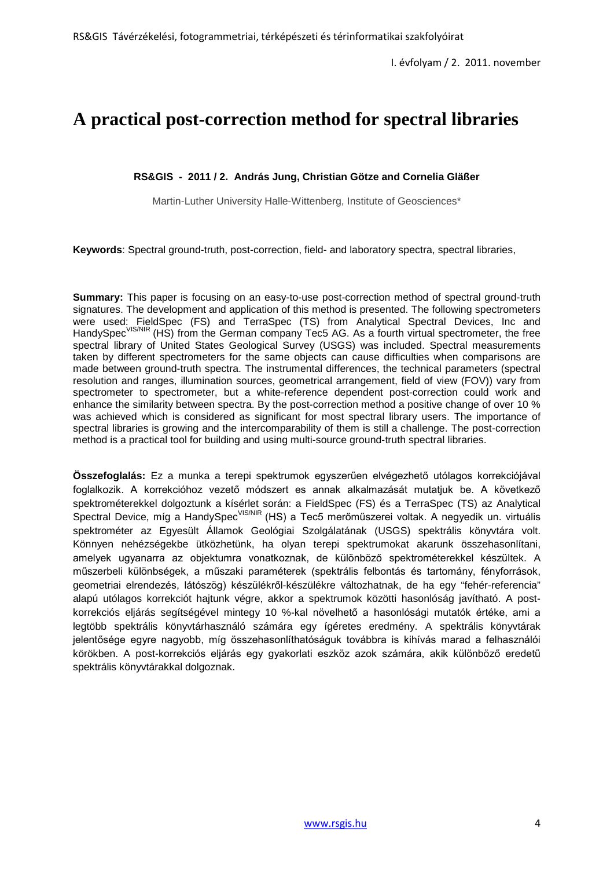# **A practical post-correction method for spectral libraries**

## **RS&GIS - 2011 / 2. András Jung, Christian Götze and Cornelia Gläßer**

Martin-Luther University Halle-Wittenberg, Institute of Geosciences\*

**Keywords**: Spectral ground-truth, post-correction, field- and laboratory spectra, spectral libraries,

**Summary:** This paper is focusing on an easy-to-use post-correction method of spectral ground-truth signatures. The development and application of this method is presented. The following spectrometers were used: FieldSpec (FS) and TerraSpec (TS) from Analytical Spectral Devices, Inc and HandySpec<sup>VIS/NIR</sup> (HS) from the German company Tec5 AG. As a fourth virtual spectrometer, the free spectral library of United States Geological Survey (USGS) was included. Spectral measurements taken by different spectrometers for the same objects can cause difficulties when comparisons are made between ground-truth spectra. The instrumental differences, the technical parameters (spectral resolution and ranges, illumination sources, geometrical arrangement, field of view (FOV)) vary from spectrometer to spectrometer, but a white-reference dependent post-correction could work and enhance the similarity between spectra. By the post-correction method a positive change of over 10 % was achieved which is considered as significant for most spectral library users. The importance of spectral libraries is growing and the intercomparability of them is still a challenge. The post-correction method is a practical tool for building and using multi-source ground-truth spectral libraries.

**Összefoglalás:** Ez a munka a terepi spektrumok egyszerűen elvégezhető utólagos korrekciójával foglalkozik. A korrekcióhoz vezető módszert es annak alkalmazását mutatjuk be. A következő spektrométerekkel dolgoztunk a kísérlet során: a FieldSpec (FS) és a TerraSpec (TS) az Analytical Spectral Device, míg a HandySpec<sup>VIS/NIR</sup> (HS) a Tec5 merőműszerei voltak. A negyedik un. virtuális spektrométer az Egyesült Államok Geológiai Szolgálatának (USGS) spektrális könyvtára volt. Könnyen nehézségekbe ütközhetünk, ha olyan terepi spektrumokat akarunk összehasonlítani, amelyek ugyanarra az objektumra vonatkoznak, de különböző spektrométerekkel készültek. A műszerbeli különbségek, a műszaki paraméterek (spektrális felbontás és tartomány, fényforrások, geometriai elrendezés, látószög) készülékről-készülékre változhatnak, de ha egy "fehér-referencia" alapú utólagos korrekciót hajtunk végre, akkor a spektrumok közötti hasonlóság javítható. A postkorrekciós eljárás segítségével mintegy 10 %-kal növelhető a hasonlósági mutatók értéke, ami a legtöbb spektrális könyvtárhasználó számára egy ígéretes eredmény. A spektrális könyvtárak jelentősége egyre nagyobb, míg összehasonlíthatóságuk továbbra is kihívás marad a felhasználói körökben. A post-korrekciós eljárás egy gyakorlati eszköz azok számára, akik különböző eredetű spektrális könyvtárakkal dolgoznak.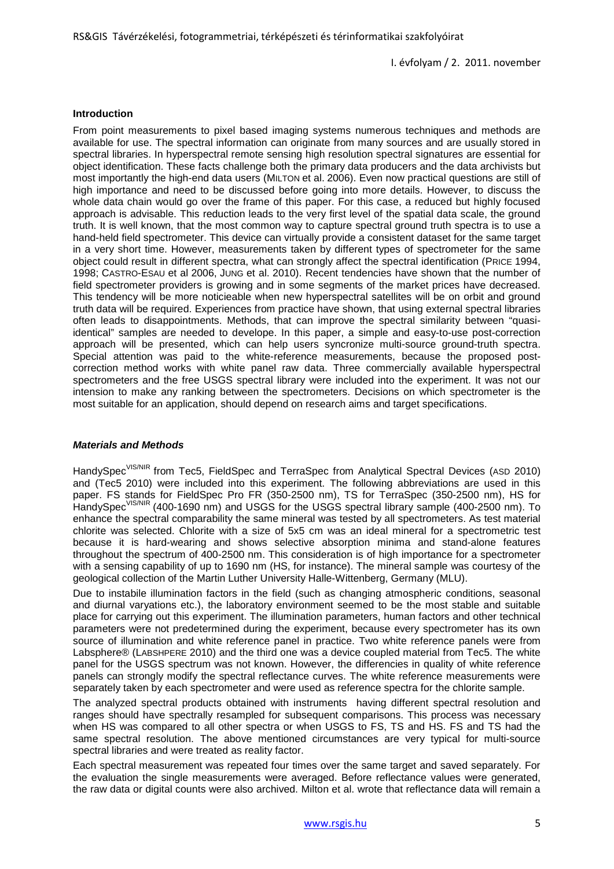#### **Introduction**

From point measurements to pixel based imaging systems numerous techniques and methods are available for use. The spectral information can originate from many sources and are usually stored in spectral libraries. In hyperspectral remote sensing high resolution spectral signatures are essential for object identification. These facts challenge both the primary data producers and the data archivists but most importantly the high-end data users (MILTON et al. 2006). Even now practical questions are still of high importance and need to be discussed before going into more details. However, to discuss the whole data chain would go over the frame of this paper. For this case, a reduced but highly focused approach is advisable. This reduction leads to the very first level of the spatial data scale, the ground truth. It is well known, that the most common way to capture spectral ground truth spectra is to use a hand-held field spectrometer. This device can virtually provide a consistent dataset for the same target in a very short time. However, measurements taken by different types of spectrometer for the same object could result in different spectra, what can strongly affect the spectral identification (PRICE 1994, 1998; CASTRO-ESAU et al 2006, JUNG et al. 2010). Recent tendencies have shown that the number of field spectrometer providers is growing and in some segments of the market prices have decreased. This tendency will be more noticieable when new hyperspectral satellites will be on orbit and ground truth data will be required. Experiences from practice have shown, that using external spectral libraries often leads to disappointments. Methods, that can improve the spectral similarity between "quasiidentical" samples are needed to develope. In this paper, a simple and easy-to-use post-correction approach will be presented, which can help users syncronize multi-source ground-truth spectra. Special attention was paid to the white-reference measurements, because the proposed postcorrection method works with white panel raw data. Three commercially available hyperspectral spectrometers and the free USGS spectral library were included into the experiment. It was not our intension to make any ranking between the spectrometers. Decisions on which spectrometer is the most suitable for an application, should depend on research aims and target specifications.

## *Materials and Methods*

HandySpec<sup>VIS/NIR</sup> from Tec5, FieldSpec and TerraSpec from Analytical Spectral Devices (ASD 2010) and (Tec5 2010) were included into this experiment. The following abbreviations are used in this paper. FS stands for FieldSpec Pro FR (350-2500 nm), TS for TerraSpec (350-2500 nm), HS for HandvSpec<sup>VIS/NIR</sup> (400-1690 nm) and USGS for the USGS spectral library sample (400-2500 nm). To enhance the spectral comparability the same mineral was tested by all spectrometers. As test material chlorite was selected. Chlorite with a size of 5x5 cm was an ideal mineral for a spectrometric test because it is hard-wearing and shows selective absorption minima and stand-alone features throughout the spectrum of 400-2500 nm. This consideration is of high importance for a spectrometer with a sensing capability of up to 1690 nm (HS, for instance). The mineral sample was courtesy of the geological collection of the Martin Luther University Halle-Wittenberg, Germany (MLU).

Due to instabile illumination factors in the field (such as changing atmospheric conditions, seasonal and diurnal varyations etc.), the laboratory environment seemed to be the most stable and suitable place for carrying out this experiment. The illumination parameters, human factors and other technical parameters were not predetermined during the experiment, because every spectrometer has its own source of illumination and white reference panel in practice. Two white reference panels were from Labsphere® (LABSHPERE 2010) and the third one was a device coupled material from Tec5. The white panel for the USGS spectrum was not known. However, the differencies in quality of white reference panels can strongly modify the spectral reflectance curves. The white reference measurements were separately taken by each spectrometer and were used as reference spectra for the chlorite sample.

The analyzed spectral products obtained with instruments having different spectral resolution and ranges should have spectrally resampled for subsequent comparisons. This process was necessary when HS was compared to all other spectra or when USGS to FS, TS and HS. FS and TS had the same spectral resolution. The above mentioned circumstances are very typical for multi-source spectral libraries and were treated as reality factor.

Each spectral measurement was repeated four times over the same target and saved separately. For the evaluation the single measurements were averaged. Before reflectance values were generated, the raw data or digital counts were also archived. Milton et al. wrote that reflectance data will remain a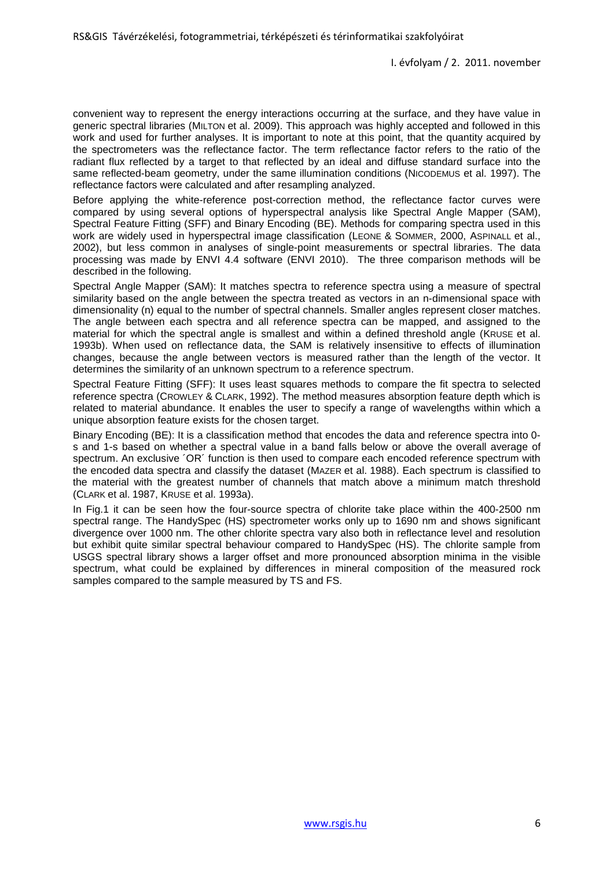convenient way to represent the energy interactions occurring at the surface, and they have value in generic spectral libraries (MILTON et al. 2009). This approach was highly accepted and followed in this work and used for further analyses. It is important to note at this point, that the quantity acquired by the spectrometers was the reflectance factor. The term reflectance factor refers to the ratio of the radiant flux reflected by a target to that reflected by an ideal and diffuse standard surface into the same reflected-beam geometry, under the same illumination conditions (NICODEMUS et al. 1997). The reflectance factors were calculated and after resampling analyzed.

Before applying the white-reference post-correction method, the reflectance factor curves were compared by using several options of hyperspectral analysis like Spectral Angle Mapper (SAM), Spectral Feature Fitting (SFF) and Binary Encoding (BE). Methods for comparing spectra used in this work are widely used in hyperspectral image classification (LEONE & SOMMER, 2000, ASPINALL et al., 2002), but less common in analyses of single-point measurements or spectral libraries. The data processing was made by ENVI 4.4 software (ENVI 2010). The three comparison methods will be described in the following.

Spectral Angle Mapper (SAM): It matches spectra to reference spectra using a measure of spectral similarity based on the angle between the spectra treated as vectors in an n-dimensional space with dimensionality (n) equal to the number of spectral channels. Smaller angles represent closer matches. The angle between each spectra and all reference spectra can be mapped, and assigned to the material for which the spectral angle is smallest and within a defined threshold angle (KRUSE et al. 1993b). When used on reflectance data, the SAM is relatively insensitive to effects of illumination changes, because the angle between vectors is measured rather than the length of the vector. It determines the similarity of an unknown spectrum to a reference spectrum.

Spectral Feature Fitting (SFF): It uses least squares methods to compare the fit spectra to selected reference spectra (CROWLEY & CLARK, 1992). The method measures absorption feature depth which is related to material abundance. It enables the user to specify a range of wavelengths within which a unique absorption feature exists for the chosen target.

Binary Encoding (BE): It is a classification method that encodes the data and reference spectra into 0 s and 1-s based on whether a spectral value in a band falls below or above the overall average of spectrum. An exclusive ´OR´ function is then used to compare each encoded reference spectrum with the encoded data spectra and classify the dataset (MAZER et al. 1988). Each spectrum is classified to the material with the greatest number of channels that match above a minimum match threshold (CLARK et al. 1987, KRUSE et al. 1993a).

In Fig.1 it can be seen how the four-source spectra of chlorite take place within the 400-2500 nm spectral range. The HandySpec (HS) spectrometer works only up to 1690 nm and shows significant divergence over 1000 nm. The other chlorite spectra vary also both in reflectance level and resolution but exhibit quite similar spectral behaviour compared to HandySpec (HS). The chlorite sample from USGS spectral library shows a larger offset and more pronounced absorption minima in the visible spectrum, what could be explained by differences in mineral composition of the measured rock samples compared to the sample measured by TS and FS.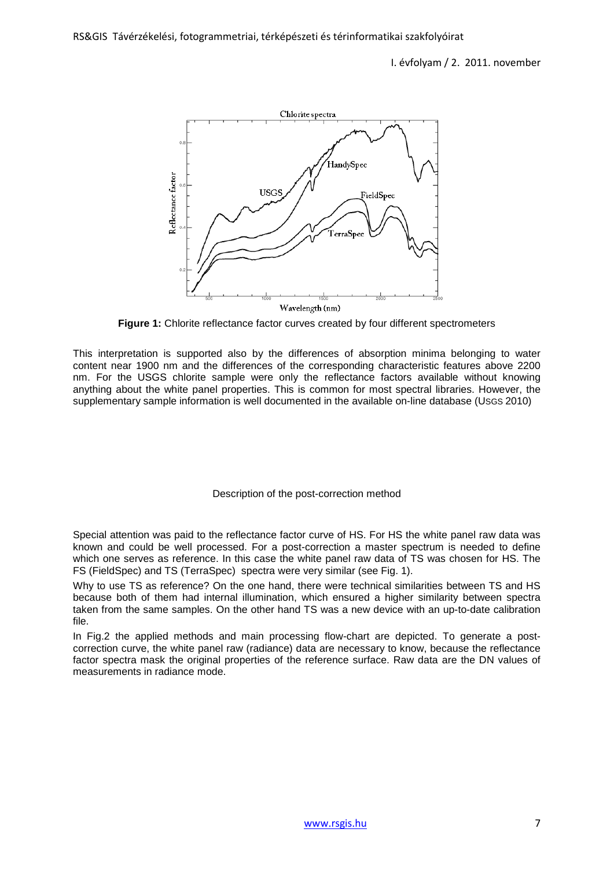

**Figure 1:** Chlorite reflectance factor curves created by four different spectrometers

This interpretation is supported also by the differences of absorption minima belonging to water content near 1900 nm and the differences of the corresponding characteristic features above 2200 nm. For the USGS chlorite sample were only the reflectance factors available without knowing anything about the white panel properties. This is common for most spectral libraries. However, the supplementary sample information is well documented in the available on-line database (USGS 2010)

Description of the post-correction method

Special attention was paid to the reflectance factor curve of HS. For HS the white panel raw data was known and could be well processed. For a post-correction a master spectrum is needed to define which one serves as reference. In this case the white panel raw data of TS was chosen for HS. The FS (FieldSpec) and TS (TerraSpec) spectra were very similar (see Fig. 1).

Why to use TS as reference? On the one hand, there were technical similarities between TS and HS because both of them had internal illumination, which ensured a higher similarity between spectra taken from the same samples. On the other hand TS was a new device with an up-to-date calibration file.

In Fig.2 the applied methods and main processing flow-chart are depicted. To generate a postcorrection curve, the white panel raw (radiance) data are necessary to know, because the reflectance factor spectra mask the original properties of the reference surface. Raw data are the DN values of measurements in radiance mode.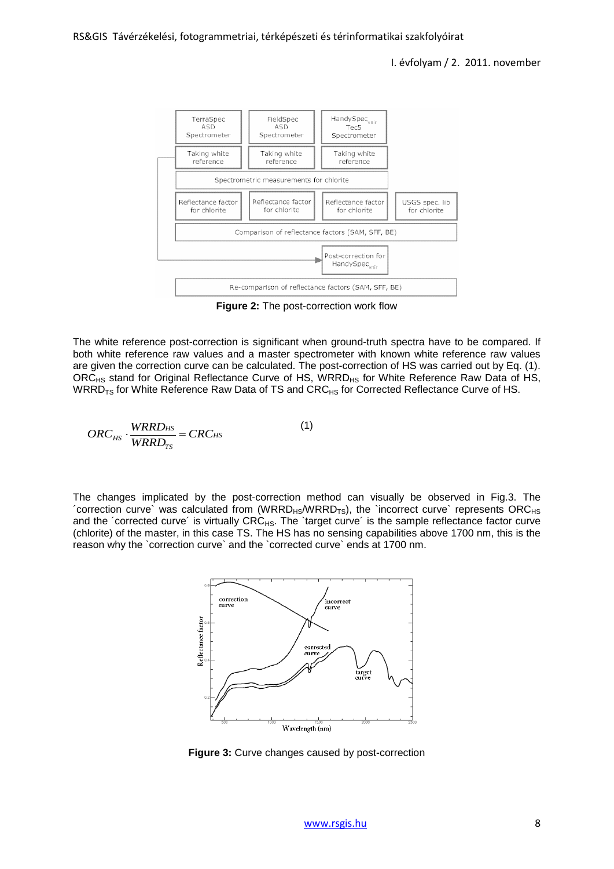

**Figure 2:** The post-correction work flow

The white reference post-correction is significant when ground-truth spectra have to be compared. If both white reference raw values and a master spectrometer with known white reference raw values are given the correction curve can be calculated. The post-correction of HS was carried out by Eq. (1). ORC<sub>HS</sub> stand for Original Reflectance Curve of HS, WRRD<sub>HS</sub> for White Reference Raw Data of HS, WRRD<sub>TS</sub> for White Reference Raw Data of TS and CRC<sub>HS</sub> for Corrected Reflectance Curve of HS.

$$
ORC_{HS} \cdot \frac{WRRD_{HS}}{WRRD_{TS}} = CRC_{HS}
$$
 (1)

The changes implicated by the post-correction method can visually be observed in Fig.3. The  $\sim$  correction curve` was calculated from (WRRD<sub>HS</sub>/WRRD<sub>TS</sub>), the `incorrect curve` represents ORC<sub>HS</sub> and the 'corrected curve' is virtually CRC<sub>HS</sub>. The 'target curve' is the sample reflectance factor curve (chlorite) of the master, in this case TS. The HS has no sensing capabilities above 1700 nm, this is the reason why the `correction curve` and the `corrected curve` ends at 1700 nm.



**Figure 3:** Curve changes caused by post-correction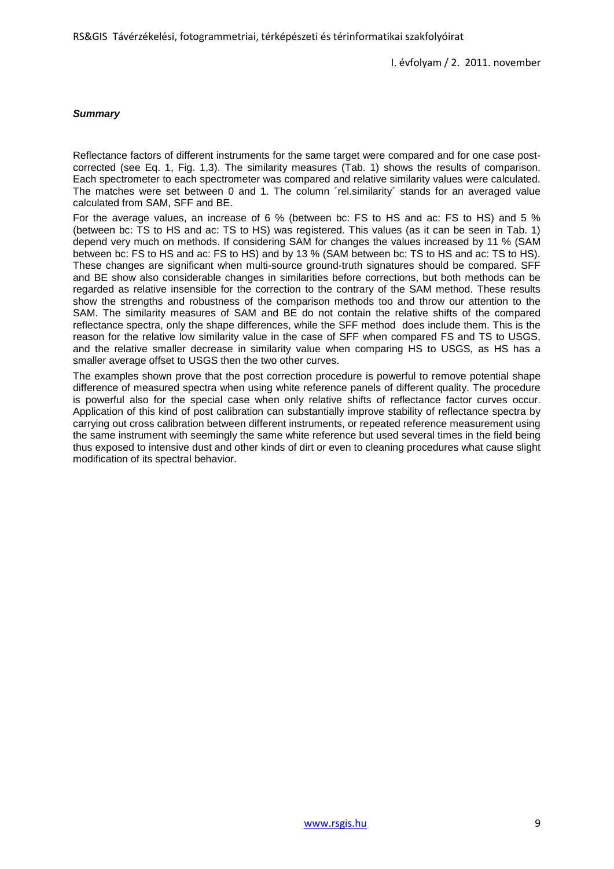#### *Summary*

Reflectance factors of different instruments for the same target were compared and for one case postcorrected (see Eq. 1, Fig. 1,3). The similarity measures (Tab. 1) shows the results of comparison. Each spectrometer to each spectrometer was compared and relative similarity values were calculated. The matches were set between 0 and 1. The column 'rel.similarity' stands for an averaged value calculated from SAM, SFF and BE.

For the average values, an increase of 6 % (between bc: FS to HS and ac: FS to HS) and 5 % (between bc: TS to HS and ac: TS to HS) was registered. This values (as it can be seen in Tab. 1) depend very much on methods. If considering SAM for changes the values increased by 11 % (SAM between bc: FS to HS and ac: FS to HS) and by 13 % (SAM between bc: TS to HS and ac: TS to HS). These changes are significant when multi-source ground-truth signatures should be compared. SFF and BE show also considerable changes in similarities before corrections, but both methods can be regarded as relative insensible for the correction to the contrary of the SAM method. These results show the strengths and robustness of the comparison methods too and throw our attention to the SAM. The similarity measures of SAM and BE do not contain the relative shifts of the compared reflectance spectra, only the shape differences, while the SFF method does include them. This is the reason for the relative low similarity value in the case of SFF when compared FS and TS to USGS, and the relative smaller decrease in similarity value when comparing HS to USGS, as HS has a smaller average offset to USGS then the two other curves.

The examples shown prove that the post correction procedure is powerful to remove potential shape difference of measured spectra when using white reference panels of different quality. The procedure is powerful also for the special case when only relative shifts of reflectance factor curves occur. Application of this kind of post calibration can substantially improve stability of reflectance spectra by carrying out cross calibration between different instruments, or repeated reference measurement using the same instrument with seemingly the same white reference but used several times in the field being thus exposed to intensive dust and other kinds of dirt or even to cleaning procedures what cause slight modification of its spectral behavior.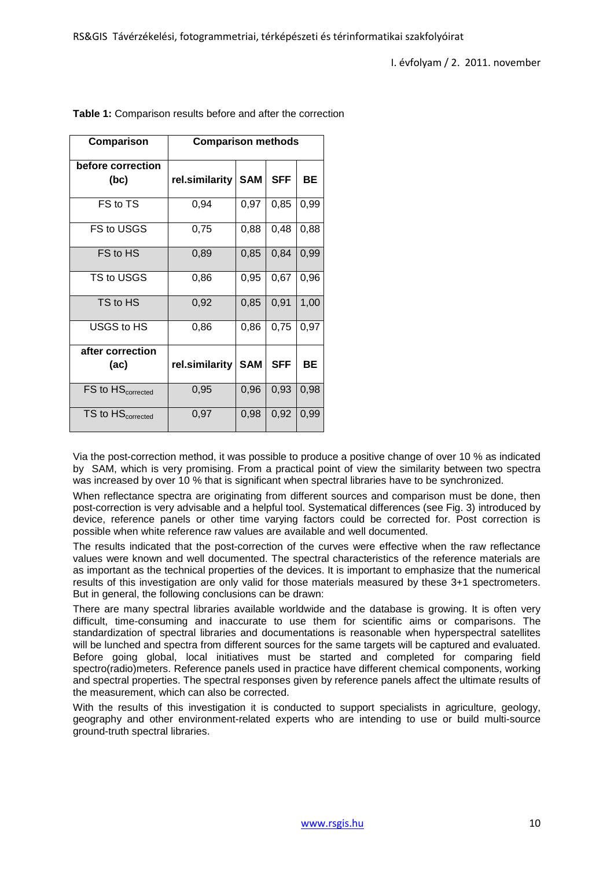| Comparison                    | <b>Comparison methods</b> |            |            |           |
|-------------------------------|---------------------------|------------|------------|-----------|
| before correction<br>(bc)     | rel.similarity            | <b>SAM</b> | <b>SFF</b> | <b>BE</b> |
| FS to TS                      | 0,94                      | 0,97       | 0,85       | 0,99      |
| FS to USGS                    | 0,75                      | 0,88       | 0,48       | 0,88      |
| FS to HS                      | 0,89                      | 0,85       | 0,84       | 0,99      |
| TS to USGS                    | 0,86                      | 0,95       | 0,67       | 0,96      |
| TS to HS                      | 0,92                      | 0,85       | 0,91       | 1,00      |
| USGS to HS                    | 0,86                      | 0,86       | 0,75       | 0,97      |
| after correction              |                           |            |            |           |
| (ac)                          | rel.similarity            | <b>SAM</b> | <b>SFF</b> | BE        |
| FS to HS <sub>corrected</sub> | 0,95                      | 0,96       | 0,93       | 0,98      |
| TS to HS <sub>corrected</sub> | 0,97                      | 0,98       | 0,92       | 0,99      |

**Table 1:** Comparison results before and after the correction

Via the post-correction method, it was possible to produce a positive change of over 10 % as indicated by SAM, which is very promising. From a practical point of view the similarity between two spectra was increased by over 10 % that is significant when spectral libraries have to be synchronized.

When reflectance spectra are originating from different sources and comparison must be done, then post-correction is very advisable and a helpful tool. Systematical differences (see Fig. 3) introduced by device, reference panels or other time varying factors could be corrected for. Post correction is possible when white reference raw values are available and well documented.

The results indicated that the post-correction of the curves were effective when the raw reflectance values were known and well documented. The spectral characteristics of the reference materials are as important as the technical properties of the devices. It is important to emphasize that the numerical results of this investigation are only valid for those materials measured by these 3+1 spectrometers. But in general, the following conclusions can be drawn:

There are many spectral libraries available worldwide and the database is growing. It is often very difficult, time-consuming and inaccurate to use them for scientific aims or comparisons. The standardization of spectral libraries and documentations is reasonable when hyperspectral satellites will be lunched and spectra from different sources for the same targets will be captured and evaluated. Before going global, local initiatives must be started and completed for comparing field spectro(radio)meters. Reference panels used in practice have different chemical components, working and spectral properties. The spectral responses given by reference panels affect the ultimate results of the measurement, which can also be corrected.

With the results of this investigation it is conducted to support specialists in agriculture, geology. geography and other environment-related experts who are intending to use or build multi-source ground-truth spectral libraries.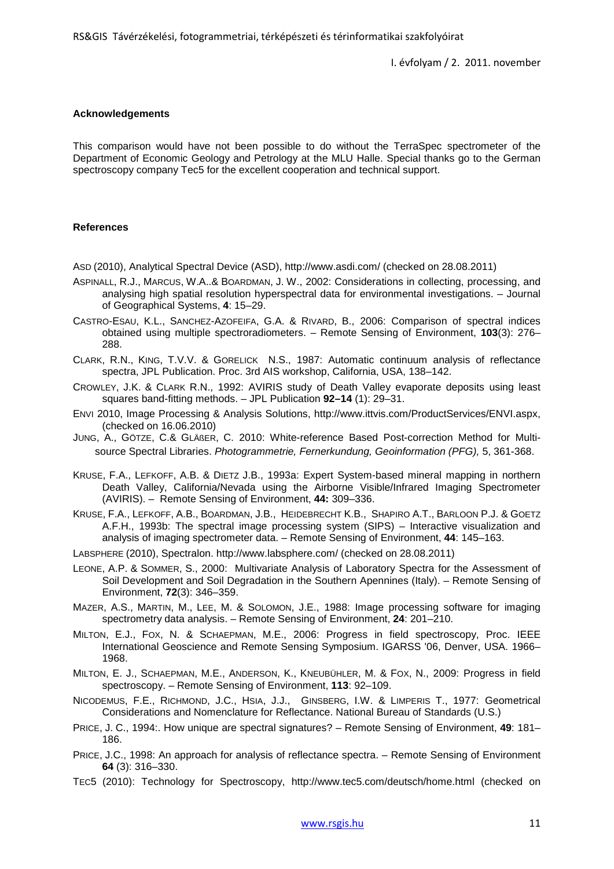## **Acknowledgements**

This comparison would have not been possible to do without the TerraSpec spectrometer of the Department of Economic Geology and Petrology at the MLU Halle. Special thanks go to the German spectroscopy company Tec5 for the excellent cooperation and technical support.

#### **References**

ASD (2010), Analytical Spectral Device (ASD), http://www.asdi.com/ (checked on 28.08.2011)

- ASPINALL, R.J., MARCUS, W.A..& BOARDMAN, J. W., 2002: Considerations in collecting, processing, and analysing high spatial resolution hyperspectral data for environmental investigations. – Journal of Geographical Systems, **4**: 15–29.
- CASTRO-ESAU, K.L., SANCHEZ-AZOFEIFA, G.A. & RIVARD, B., 2006: Comparison of spectral indices obtained using multiple spectroradiometers. – Remote Sensing of Environment, **103**(3): 276– 288.
- CLARK, R.N., KING, T.V.V. & GORELICK N.S., 1987: Automatic continuum analysis of reflectance spectra, JPL Publication. Proc. 3rd AIS workshop, California, USA, 138–142.
- CROWLEY, J.K. & CLARK R.N., 1992: AVIRIS study of Death Valley evaporate deposits using least squares band-fitting methods. – JPL Publication **92–14** (1): 29–31.
- ENVI 2010, Image Processing & Analysis Solutions, http://www.ittvis.com/ProductServices/ENVI.aspx, (checked on 16.06.2010)
- JUNG, A., GÖTZE, C.& GLÄßER, C. 2010: White-reference Based Post-correction Method for Multisource Spectral Libraries. *Photogrammetrie, Fernerkundung, Geoinformation (PFG),* 5, 361-368.
- KRUSE, F.A., LEFKOFF, A.B. & DIETZ J.B., 1993a: Expert System-based mineral mapping in northern Death Valley, California/Nevada using the Airborne Visible/Infrared Imaging Spectrometer (AVIRIS). – Remote Sensing of Environment, **44:** 309–336.
- KRUSE, F.A., LEFKOFF, A.B., BOARDMAN, J.B., HEIDEBRECHT K.B., SHAPIRO A.T., BARLOON P.J. & GOETZ A.F.H., 1993b: The spectral image processing system (SIPS) – Interactive visualization and analysis of imaging spectrometer data. – Remote Sensing of Environment, **44**: 145–163.
- LABSPHERE (2010), Spectralon. http://www.labsphere.com/ (checked on 28.08.2011)
- LEONE, A.P. & SOMMER, S., 2000: Multivariate Analysis of Laboratory Spectra for the Assessment of Soil Development and Soil Degradation in the Southern Apennines (Italy). – Remote Sensing of Environment, **72**(3): 346–359.
- MAZER, A.S., MARTIN, M., LEE, M. & SOLOMON, J.E., 1988: Image processing software for imaging spectrometry data analysis. – Remote Sensing of Environment, **24**: 201–210.
- MILTON, E.J., FOX, N. & SCHAEPMAN, M.E., 2006: Progress in field spectroscopy, Proc. IEEE International Geoscience and Remote Sensing Symposium. IGARSS '06, Denver, USA. 1966– 1968.
- MILTON, E. J., SCHAEPMAN, M.E., ANDERSON, K., KNEUBÜHLER, M. & FOX, N., 2009: Progress in field spectroscopy. – Remote Sensing of Environment, **113**: 92–109.
- NICODEMUS, F.E., RICHMOND, J.C., HSIA, J.J., GINSBERG, I.W. & LIMPERIS T., 1977: Geometrical Considerations and Nomenclature for Reflectance. National Bureau of Standards (U.S.)
- PRICE, J. C., 1994:. How unique are spectral signatures? Remote Sensing of Environment, **49**: 181– 186.
- PRICE, J.C., 1998: An approach for analysis of reflectance spectra. Remote Sensing of Environment **64** (3): 316–330.
- TEC5 (2010): Technology for Spectroscopy, http://www.tec5.com/deutsch/home.html (checked on